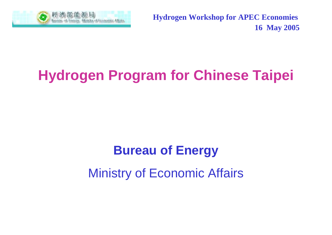

**Hydrogen Workshop for APEC Economies 16 May 2005**

# **Hydrogen Program for Chinese Taipei**

# **Bureau of Energy** Ministry of Economic Affairs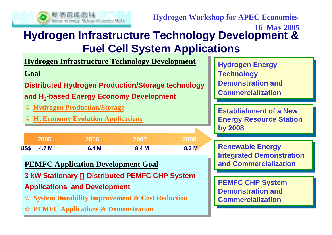

**Hydrogen Workshop for APEC Economies**

### **16 May 2005 Hydrogen Infrastructure Technology Development & Fuel Cell System Applications**

**Hydrogen Infrastructure Technology Development Hydrogen Infrastructure Technology Development**

**Goal Goal**

**Distributed Hydrogen Production/Storage technology Distributed Hydrogen Production/Storage technology**

**and H<sup>2</sup>-based Energy Economy Development and H <sup>2</sup>-based Energy Economy Development**

**Hydrogen Production/Storage Hydrogen Production/Storage**

**H <sup>2</sup>Economy Evolution Applications H <sup>2</sup>Economy Evolution Applications**

|      | <b>2005</b> | 2006  | 2007  | 2008  |
|------|-------------|-------|-------|-------|
| US\$ | 4.7 M       | 6.4 M | 8.4 M | 8.3 M |

### **PEMFC Application Development Goal PEMFC Application Development Goal**

**3 kW Stationary** 、**Distributed PEMFC CHP System 3 kW Stationary** 、**Distributed PEMFC CHP System**

**Applications and Development Applications and Development**

**System Durability Improvement & Cost Reduction System Durability Improvement & Cost Reduction**

**PEMFC Applications & Demonstration PEMFC Applications & Demonstration**

**Hydrogen Energy Hydrogen Energy Technology Technology Demonstration and CommercializationCommercialization**

**Establishment of a NewEstablishment of a NewEnergy Resource Station Energy Resource Station by 2008 by 2008**

**Renewable Energy Renewable Energy Integrated Demonstration Integrated Demonstration and Commercializationand Commercialization**

**PEMFC CHP System PEMFC CHP System Demonstration and CommercializationCommercialization**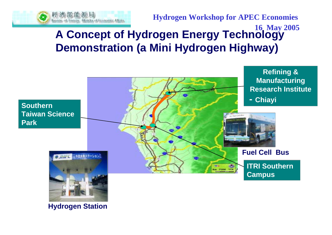

**Hydrogen Workshop for APEC Economies**

## **16 May 2005 A Concept of Hydrogen Energy Technology Demonstration (a Mini Hydrogen Highway)**



**Hydrogen Station**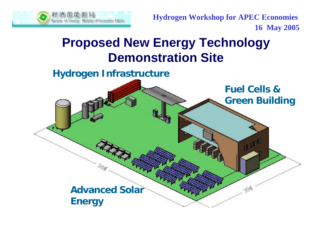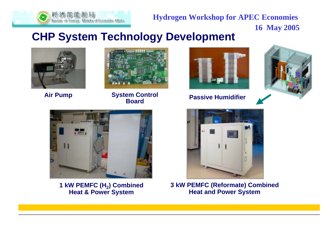

**Hydrogen Workshop for APEC Economies 16 May 2005**

### **CHP System Technology Development**





**Passive Humidifier System Control BoardAir Pump System Control<br>Board** 







**1 kW PEMFC (H 2) Combined Heat & Power System**



**3 kW PEMFC (Reformate) Combined Heat and Power System**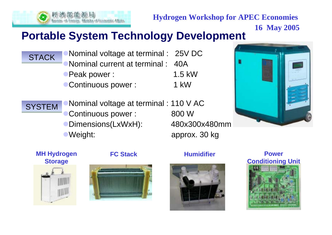

**Hydrogen Workshop for APEC Economies**

# **16 May 2005 Portable System Technology Development**

Nominal voltage at terminal : 25V DC Nominal current at terminal : 40A **Peak power : 1.5 kW** STACK

Continuous power : 1 kW





#### **MH Hydrogen Storage**





#### **FC Stack Humidifier**



#### **Power Conditioning Unit**